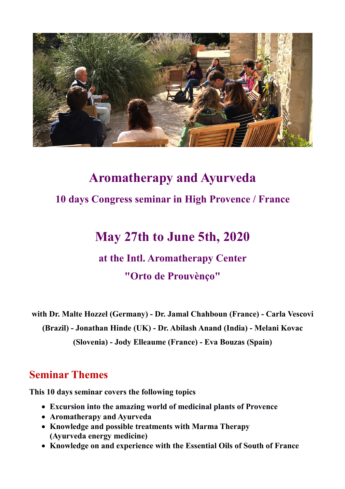

# **Aromatherapy and Ayurveda 10 days Congress seminar in High Provence / France**

## **May 27th to June 5th, 2020**

## **at the Intl. Aromatherapy Center**

#### **"Orto de Prouvènço"**

**with Dr. Malte Hozzel (Germany) - Dr. Jamal Chahboun (France) - Carla Vescovi (Brazil) - Jonathan Hinde (UK) - Dr. Abilash Anand (India) - Melani Kovac (Slovenia) - Jody Elleaume (France) - Eva Bouzas (Spain)** 

#### **Seminar Themes**

**This 10 days seminar covers the following topics** 

- **Excursion into the amazing world of medicinal plants of Provence**
- **Aromatherapy and Ayurveda**
- **Knowledge and possible treatments with Marma Therapy (Ayurveda energy medicine)**
- **Knowledge on and experience with the Essential Oils of South of France**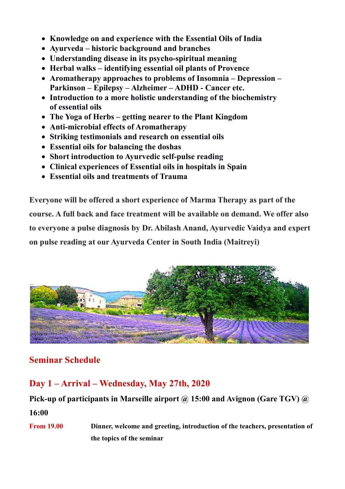- **Knowledge on and experience with the Essential Oils of India**
- **Ayurveda historic background and branches**
- **Understanding disease in its psycho-spiritual meaning**
- **Herbal walks identifying essential oil plants of Provence**
- **Aromatherapy approaches to problems of Insomnia Depression Parkinson – Epilepsy – Alzheimer – ADHD - Cancer etc.**
- **Introduction to a more holistic understanding of the biochemistry of essential oils**
- **The Yoga of Herbs getting nearer to the Plant Kingdom**
- **Anti-microbial effects of Aromatherapy**
- **Striking testimonials and research on essential oils**
- **Essential oils for balancing the doshas**
- **Short introduction to Ayurvedic self-pulse reading**
- **Clinical experiences of Essential oils in hospitals in Spain**
- **Essential oils and treatments of Trauma**

**Everyone will be offered a short experience of Marma Therapy as part of the course. A full back and face treatment will be available on demand. We offer also to everyone a pulse diagnosis by Dr. Abilash Anand, Ayurvedic Vaidya and expert on pulse reading at our Ayurveda Center in South India (Maitreyi)**



#### **Seminar Schedule**

#### **Day 1 – Arrival – Wednesday, May 27th, 2020**

### Pick-up of participants in Marseille airport @ 15:00 and Avignon (Gare TGV) @ **16:00**

**From 19.00 Dinner, welcome and greeting, introduction of the teachers, presentation of the topics of the seminar**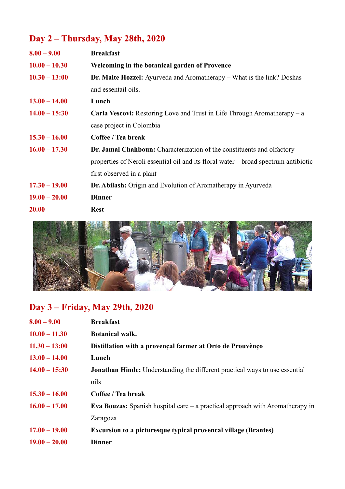## **Day 2 – Thursday, May 28th, 2020**

| $8.00 - 9.00$   | <b>Breakfast</b>                                                                    |
|-----------------|-------------------------------------------------------------------------------------|
| $10.00 - 10.30$ | Welcoming in the botanical garden of Provence                                       |
| $10.30 - 13:00$ | <b>Dr. Malte Hozzel:</b> Ayurveda and Aromatherapy – What is the link? Doshas       |
|                 | and essentail oils.                                                                 |
| $13.00 - 14.00$ | Lunch                                                                               |
| $14.00 - 15:30$ | <b>Carla Vescovi:</b> Restoring Love and Trust in Life Through Aromatherapy $-$ a   |
|                 | case project in Colombia                                                            |
| $15.30 - 16.00$ | Coffee / Tea break                                                                  |
| $16.00 - 17.30$ | <b>Dr. Jamal Chahboun:</b> Characterization of the constituents and olfactory       |
|                 | properties of Neroli essential oil and its floral water – broad spectrum antibiotic |
|                 | first observed in a plant                                                           |
| $17.30 - 19.00$ | <b>Dr. Abilash:</b> Origin and Evolution of Aromatherapy in Ayurveda                |
| $19.00 - 20.00$ | <b>Dinner</b>                                                                       |
| 20.00           | <b>Rest</b>                                                                         |



### **Day 3 – Friday, May 29th, 2020**

| $8.00 - 9.00$   | <b>Breakfast</b>                                                                       |
|-----------------|----------------------------------------------------------------------------------------|
| $10.00 - 11.30$ | <b>Botanical walk.</b>                                                                 |
| $11.30 - 13:00$ | Distillation with a provençal farmer at Orto de Prouvènço                              |
| $13.00 - 14.00$ | Lunch                                                                                  |
| $14.00 - 15:30$ | <b>Jonathan Hinde:</b> Understanding the different practical ways to use essential     |
|                 | oils                                                                                   |
| $15.30 - 16.00$ | Coffee / Tea break                                                                     |
| $16.00 - 17.00$ | <b>Eva Bouzas:</b> Spanish hospital care $-$ a practical approach with Aromatherapy in |
|                 | Zaragoza                                                                               |
| $17.00 - 19.00$ | <b>Excursion to a picture sque typical provencal village (Brantes)</b>                 |
| $19.00 - 20.00$ | <b>Dinner</b>                                                                          |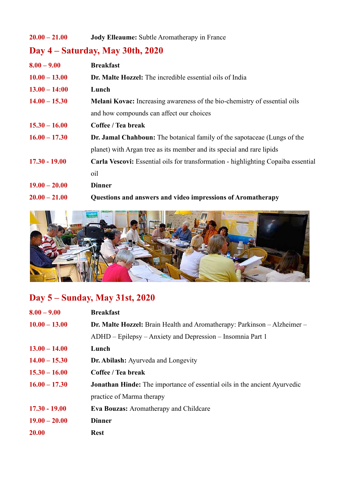#### **20.00 – 21.00 Jody Elleaume:** Subtle Aromatherapy in France

## **Day 4 – Saturday, May 30th, 2020**

| $8.00 - 9.00$   | <b>Breakfast</b>                                                                  |
|-----------------|-----------------------------------------------------------------------------------|
| $10.00 - 13.00$ | <b>Dr. Malte Hozzel:</b> The incredible essential oils of India                   |
| $13.00 - 14:00$ | Lunch                                                                             |
| $14.00 - 15.30$ | Melani Kovac: Increasing awareness of the bio-chemistry of essential oils         |
|                 | and how compounds can affect our choices                                          |
| $15.30 - 16.00$ | Coffee / Tea break                                                                |
| $16.00 - 17.30$ | <b>Dr. Jamal Chahboun:</b> The botanical family of the sapotaceae (Lungs of the   |
|                 | planet) with Argan tree as its member and its special and rare lipids             |
| $17.30 - 19.00$ | Carla Vescovi: Essential oils for transformation - highlighting Copaiba essential |
|                 | oil                                                                               |
| $19.00 - 20.00$ | <b>Dinner</b>                                                                     |
| $20.00 - 21.00$ | Questions and answers and video impressions of Aromatherapy                       |



### **Day 5 – Sunday, May 31st, 2020**

| $8.00 - 9.00$   | <b>Breakfast</b>                                                                 |
|-----------------|----------------------------------------------------------------------------------|
| $10.00 - 13.00$ | <b>Dr. Malte Hozzel:</b> Brain Health and Aromatherapy: Parkinson – Alzheimer –  |
|                 | ADHD – Epilepsy – Anxiety and Depression – Insomnia Part 1                       |
| $13.00 - 14.00$ | Lunch                                                                            |
| $14.00 - 15.30$ | Dr. Abilash: Ayurveda and Longevity                                              |
| $15.30 - 16.00$ | Coffee / Tea break                                                               |
| $16.00 - 17.30$ | <b>Jonathan Hinde:</b> The importance of essential oils in the ancient Ayurvedic |
|                 | practice of Marma therapy                                                        |
| $17.30 - 19.00$ | <b>Eva Bouzas:</b> Aromatherapy and Childcare                                    |
| $19.00 - 20.00$ | <b>Dinner</b>                                                                    |
| 20.00           | <b>Rest</b>                                                                      |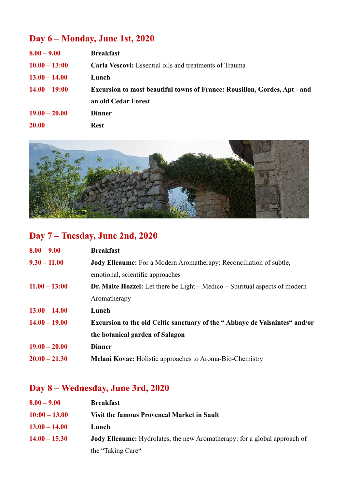### **Day 6 – Monday, June 1st, 2020**

| $8.00 - 9.00$   | <b>Breakfast</b>                                                                 |
|-----------------|----------------------------------------------------------------------------------|
| $10.00 - 13:00$ | <b>Carla Vescovi:</b> Essential oils and treatments of Trauma                    |
| $13.00 - 14.00$ | Lunch                                                                            |
| $14.00 - 19:00$ | <b>Excursion to most beautiful towns of France: Rousillon, Gordes, Apt - and</b> |
|                 | an old Cedar Forest                                                              |
| $19.00 - 20.00$ | <b>Dinner</b>                                                                    |
| 20.00           | <b>Rest</b>                                                                      |



### **Day 7 – Tuesday, June 2nd, 2020**

| $8.00 - 9.00$   | <b>Breakfast</b>                                                                   |
|-----------------|------------------------------------------------------------------------------------|
| $9.30 - 11.00$  | Jody Elleaume: For a Modern Aromatherapy: Reconciliation of subtle,                |
|                 | emotional, scientific approaches                                                   |
| $11.00 - 13:00$ | <b>Dr. Malte Hozzel:</b> Let there be Light – Medico – Spiritual aspects of modern |
|                 | Aromatherapy                                                                       |
| $13.00 - 14.00$ | Lunch                                                                              |
| $14.00 - 19.00$ | <b>Excursion to the old Celtic sanctuary of the "Abbaye de Valsaintes" and/or</b>  |
|                 | the botanical garden of Salagon                                                    |
| $19.00 - 20.00$ | <b>Dinner</b>                                                                      |
| $20.00 - 21.30$ | <b>Melani Kovac:</b> Holistic approaches to Aroma-Bio-Chemistry                    |

### **Day 8 – Wednesday, June 3rd, 2020**

| $8.00 - 9.00$   | <b>Breakfast</b>                                                                 |
|-----------------|----------------------------------------------------------------------------------|
| $10:00 - 13.00$ | Visit the famous Provencal Market in Sault                                       |
| $13.00 - 14.00$ | Lunch                                                                            |
| $14.00 - 15.30$ | <b>Jody Elleaume:</b> Hydrolates, the new Aromatherapy: for a global approach of |
|                 | the "Taking Care"                                                                |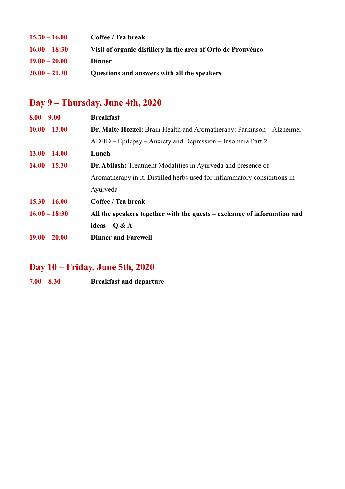| $15.30 - 16.00$ | Coffee / Tea break                                           |
|-----------------|--------------------------------------------------------------|
| $16.00 - 18:30$ | Visit of organic distillery in the area of Orto de Prouvènco |
| $19.00 - 20.00$ | <b>Dinner</b>                                                |
| $20.00 - 21.30$ | Questions and answers with all the speakers                  |

### **Day 9 – Thursday, June 4th, 2020**

| $8.00 - 9.00$   | <b>Breakfast</b>                                                                |
|-----------------|---------------------------------------------------------------------------------|
| $10.00 - 13.00$ | <b>Dr. Malte Hozzel:</b> Brain Health and Aromatherapy: Parkinson – Alzheimer – |
|                 | ADHD – Epilepsy – Anxiety and Depression – Insomnia Part 2                      |
| $13.00 - 14.00$ | Lunch                                                                           |
| $14.00 - 15.30$ | <b>Dr. Abilash:</b> Treatment Modalities in Ayurveda and presence of            |
|                 | Aromatherapy in it. Distilled herbs used for inflammatory considitions in       |
|                 | Ayurveda                                                                        |
| $15.30 - 16.00$ | Coffee / Tea break                                                              |
| $16.00 - 18:30$ | All the speakers together with the guests – exchange of information and         |
|                 | ideas – Q & $A$                                                                 |
| $19.00 - 20.00$ | <b>Dinner and Farewell</b>                                                      |

#### **Day 10 – Friday, June 5th, 2020**

**7.00 – 8.30 Breakfast and departure**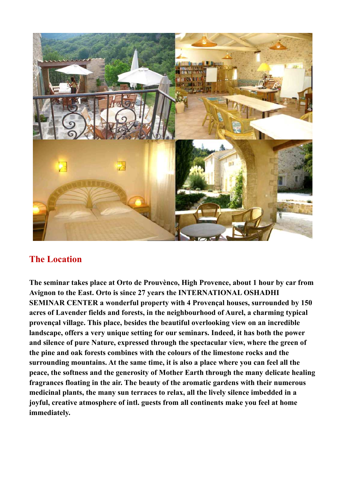

#### **The Location**

**The seminar takes place at Orto de Prouvènco, High Provence, about 1 hour by car from Avignon to the East. Orto is since 27 years the INTERNATIONAL OSHADHI SEMINAR CENTER a wonderful property with 4 Provençal houses, surrounded by 150 acres of Lavender fields and forests, in the neighbourhood of Aurel, a charming typical provençal village. This place, besides the beautiful overlooking view on an incredible landscape, offers a very unique setting for our seminars. Indeed, it has both the power and silence of pure Nature, expressed through the spectacular view, where the green of the pine and oak forests combines with the colours of the limestone rocks and the surrounding mountains. At the same time, it is also a place where you can feel all the peace, the softness and the generosity of Mother Earth through the many delicate healing fragrances floating in the air. The beauty of the aromatic gardens with their numerous medicinal plants, the many sun terraces to relax, all the lively silence imbedded in a joyful, creative atmosphere of intl. guests from all continents make you feel at home immediately.**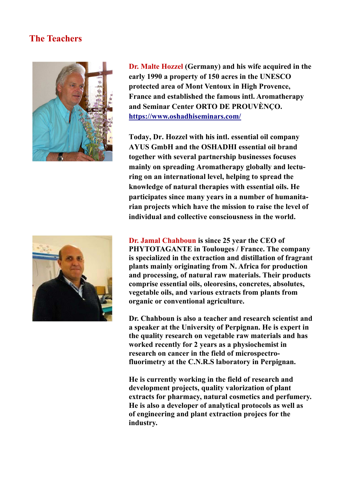#### **The Teachers**



**Dr. Malte Hozzel (Germany) and his wife acquired in the early 1990 a property of 150 acres in the UNESCO protected area of Mont Ventoux in High Provence, France and established the famous intl. Aromatherapy and Seminar Center ORTO DE PROUVÈNÇO. https://www.oshadhiseminars.com/**

**Today, Dr. Hozzel with his intl. essential oil company AYUS GmbH and the OSHADHI essential oil brand together with several partnership businesses focuses mainly on spreading Aromatherapy globally and lecturing on an international level, helping to spread the knowledge of natural therapies with essential oils. He participates since many years in a number of humanitarian projects which have the mission to raise the level of individual and collective consciousness in the world.**



**Dr. Jamal Chahboun is since 25 year the CEO of PHYTOTAGANTE in Toulouges / France. The company is specialized in the extraction and distillation of fragrant plants mainly originating from N. Africa for production and processing, of natural raw materials. Their products comprise essential oils, oleoresins, concretes, absolutes, vegetable oils, and various extracts from plants from organic or conventional agriculture.** 

**Dr. Chahboun is also a teacher and research scientist and a speaker at the University of Perpignan. He is expert in the quality research on vegetable raw materials and has worked recently for 2 years as a physiochemist in research on cancer in the field of microspectrofluorimetry at the C.N.R.S laboratory in Perpignan.**

**He is currently working in the field of research and development projects, quality valorization of plant extracts for pharmacy, natural cosmetics and perfumery. He is also a developer of analytical protocols as well as of engineering and plant extraction projecs for the industry.**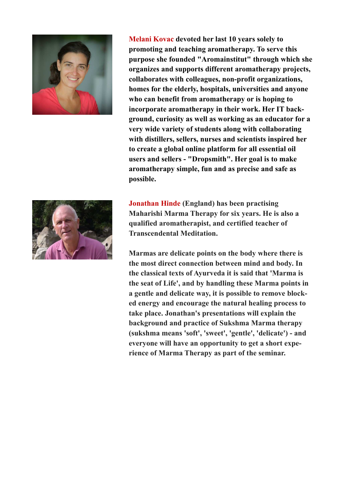

**Melani Kovac devoted her last 10 years solely to promoting and teaching aromatherapy. To serve this purpose she founded "Aromainstitut" through which she organizes and supports different aromatherapy projects, collaborates with colleagues, non-profit organizations, homes for the elderly, hospitals, universities and anyone who can benefit from aromatherapy or is hoping to incorporate aromatherapy in their work. Her IT background, curiosity as well as working as an educator for a very wide variety of students along with collaborating with distillers, sellers, nurses and scientists inspired her to create a global online platform for all essential oil users and sellers - "Dropsmith". Her goal is to make aromatherapy simple, fun and as precise and safe as possible.** 

**Jonathan Hinde (England) has been practising Maharishi Marma Therapy for six years. He is also a qualified aromatherapist, and certified teacher of Transcendental Meditation.** 

**Marmas are delicate points on the body where there is the most direct connection between mind and body. In the classical texts of Ayurveda it is said that 'Marma is the seat of Life', and by handling these Marma points in a gentle and delicate way, it is possible to remove blocked energy and encourage the natural healing process to take place. Jonathan's presentations will explain the background and practice of Sukshma Marma therapy (sukshma means 'soft', 'sweet', 'gentle', 'delicate') - and everyone will have an opportunity to get a short experience of Marma Therapy as part of the seminar.** 

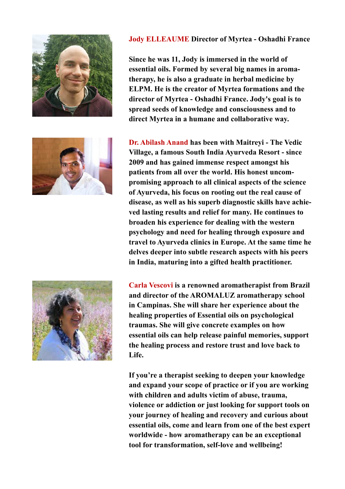



#### **Jody ELLEAUME Director of Myrtea - Oshadhi France**

**Since he was 11, Jody is immersed in the world of essential oils. Formed by several big names in aromatherapy, he is also a graduate in herbal medicine by ELPM. He is the creator of Myrtea formations and the director of Myrtea - Oshadhi France. Jody's goal is to spread seeds of knowledge and consciousness and to direct Myrtea in a humane and collaborative way.** 

**Dr. Abilash Anand has been with Maitreyi - The Vedic Village, a famous South India Ayurveda Resort - since 2009 and has gained immense respect amongst his patients from all over the world. His honest uncompromising approach to all clinical aspects of the science of Ayurveda, his focus on rooting out the real cause of disease, as well as his superb diagnostic skills have achieved lasting results and relief for many. He continues to broaden his experience for dealing with the western psychology and need for healing through exposure and travel to Ayurveda clinics in Europe. At the same time he delves deeper into subtle research aspects with his peers in India, maturing into a gifted health practitioner.** 



**Carla Vescovi is a renowned aromatherapist from Brazil and director of the AROMALUZ aromatherapy school in Campinas. She will share her experience about the healing properties of Essential oils on psychological traumas. She will give concrete examples on how essential oils can help release painful memories, support the healing process and restore trust and love back to Life.** 

**If you're a therapist seeking to deepen your knowledge and expand your scope of practice or if you are working with children and adults victim of abuse, trauma, violence or addiction or just looking for support tools on your journey of healing and recovery and curious about essential oils, come and learn from one of the best expert worldwide - how aromatherapy can be an exceptional tool for transformation, self-love and wellbeing!**